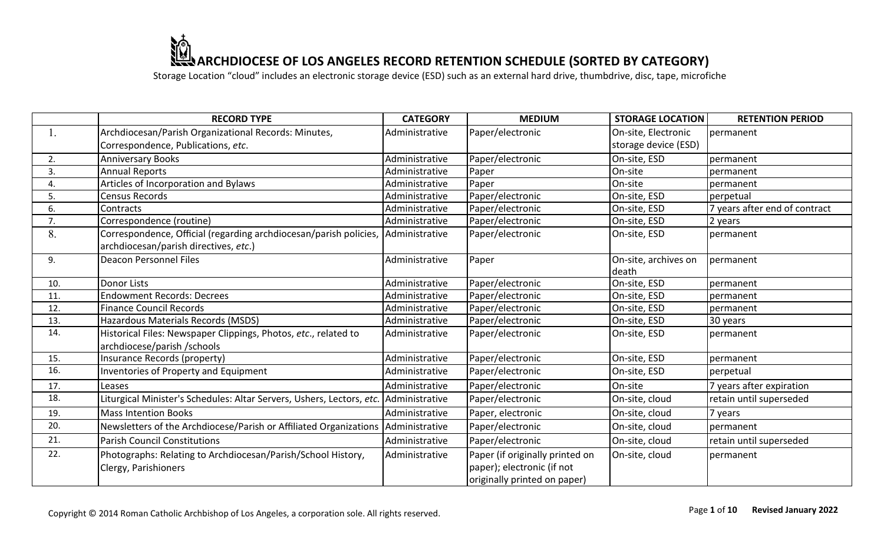|     | <b>RECORD TYPE</b>                                                                     | <b>CATEGORY</b> | <b>MEDIUM</b>                                                                                 | <b>STORAGE LOCATION</b>       | <b>RETENTION PERIOD</b>       |
|-----|----------------------------------------------------------------------------------------|-----------------|-----------------------------------------------------------------------------------------------|-------------------------------|-------------------------------|
|     | Archdiocesan/Parish Organizational Records: Minutes,                                   | Administrative  | Paper/electronic                                                                              | On-site, Electronic           | permanent                     |
|     | Correspondence, Publications, etc.                                                     |                 |                                                                                               | storage device (ESD)          |                               |
| 2.  | <b>Anniversary Books</b>                                                               | Administrative  | Paper/electronic                                                                              | On-site, ESD                  | permanent                     |
| 3.  | <b>Annual Reports</b>                                                                  | Administrative  | Paper                                                                                         | On-site                       | permanent                     |
| 4.  | Articles of Incorporation and Bylaws                                                   | Administrative  | Paper                                                                                         | On-site                       | permanent                     |
| 5.  | <b>Census Records</b>                                                                  | Administrative  | Paper/electronic                                                                              | On-site, ESD                  | perpetual                     |
| 6.  | Contracts                                                                              | Administrative  | Paper/electronic                                                                              | On-site, ESD                  | 7 years after end of contract |
| 7.  | Correspondence (routine)                                                               | Administrative  | Paper/electronic                                                                              | On-site, ESD                  | 2 years                       |
| 8.  | Correspondence, Official (regarding archdiocesan/parish policies,  Administrative      |                 | Paper/electronic                                                                              | On-site, ESD                  | permanent                     |
|     | archdiocesan/parish directives, etc.)                                                  |                 |                                                                                               |                               |                               |
| 9.  | <b>Deacon Personnel Files</b>                                                          | Administrative  | Paper                                                                                         | On-site, archives on<br>death | permanent                     |
| 10. | <b>Donor Lists</b>                                                                     | Administrative  | Paper/electronic                                                                              | On-site, ESD                  | permanent                     |
| 11. | <b>Endowment Records: Decrees</b>                                                      | Administrative  | Paper/electronic                                                                              | On-site, ESD                  | permanent                     |
| 12. | <b>Finance Council Records</b>                                                         | Administrative  | Paper/electronic                                                                              | On-site, ESD                  | permanent                     |
| 13. | Hazardous Materials Records (MSDS)                                                     | Administrative  | Paper/electronic                                                                              | On-site, ESD                  | 30 years                      |
| 14. | Historical Files: Newspaper Clippings, Photos, etc., related to                        | Administrative  | Paper/electronic                                                                              | On-site, ESD                  | permanent                     |
|     | archdiocese/parish/schools                                                             |                 |                                                                                               |                               |                               |
| 15. | Insurance Records (property)                                                           | Administrative  | Paper/electronic                                                                              | On-site, ESD                  | permanent                     |
| 16. | <b>Inventories of Property and Equipment</b>                                           | Administrative  | Paper/electronic                                                                              | On-site, ESD                  | perpetual                     |
| 17. | Leases                                                                                 | Administrative  | Paper/electronic                                                                              | On-site                       | 7 years after expiration      |
| 18. | Liturgical Minister's Schedules: Altar Servers, Ushers, Lectors, etc.   Administrative |                 | Paper/electronic                                                                              | On-site, cloud                | retain until superseded       |
| 19. | <b>Mass Intention Books</b>                                                            | Administrative  | Paper, electronic                                                                             | On-site, cloud                | 7 years                       |
| 20. | Newsletters of the Archdiocese/Parish or Affiliated Organizations   Administrative     |                 | Paper/electronic                                                                              | On-site, cloud                | permanent                     |
| 21. | <b>Parish Council Constitutions</b>                                                    | Administrative  | Paper/electronic                                                                              | On-site, cloud                | retain until superseded       |
| 22. | Photographs: Relating to Archdiocesan/Parish/School History,<br>Clergy, Parishioners   | Administrative  | Paper (if originally printed on<br>paper); electronic (if not<br>originally printed on paper) | On-site, cloud                | permanent                     |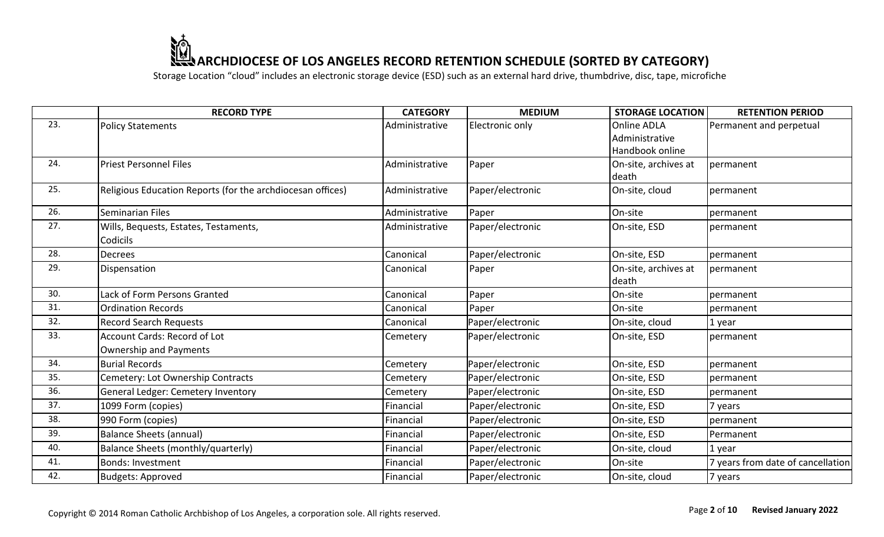|     | <b>RECORD TYPE</b>                                         | <b>CATEGORY</b> | <b>MEDIUM</b>    | <b>STORAGE LOCATION</b> | <b>RETENTION PERIOD</b>           |
|-----|------------------------------------------------------------|-----------------|------------------|-------------------------|-----------------------------------|
| 23. | <b>Policy Statements</b>                                   | Administrative  | Electronic only  | Online ADLA             | Permanent and perpetual           |
|     |                                                            |                 |                  | Administrative          |                                   |
|     |                                                            |                 |                  | Handbook online         |                                   |
| 24. | <b>Priest Personnel Files</b>                              | Administrative  | Paper            | On-site, archives at    | permanent                         |
|     |                                                            |                 |                  | death                   |                                   |
| 25. | Religious Education Reports (for the archdiocesan offices) | Administrative  | Paper/electronic | On-site, cloud          | permanent                         |
| 26. | Seminarian Files                                           | Administrative  | Paper            | On-site                 | permanent                         |
| 27. | Wills, Bequests, Estates, Testaments,                      | Administrative  | Paper/electronic | On-site, ESD            | permanent                         |
|     | Codicils                                                   |                 |                  |                         |                                   |
| 28. | <b>Decrees</b>                                             | Canonical       | Paper/electronic | On-site, ESD            | permanent                         |
| 29. | Dispensation                                               | Canonical       | Paper            | On-site, archives at    | permanent                         |
|     |                                                            |                 |                  | death                   |                                   |
| 30. | Lack of Form Persons Granted                               | Canonical       | Paper            | On-site                 | permanent                         |
| 31. | <b>Ordination Records</b>                                  | Canonical       | Paper            | On-site                 | permanent                         |
| 32. | <b>Record Search Requests</b>                              | Canonical       | Paper/electronic | On-site, cloud          | 1 year                            |
| 33. | <b>Account Cards: Record of Lot</b>                        | Cemetery        | Paper/electronic | On-site, ESD            | permanent                         |
|     | <b>Ownership and Payments</b>                              |                 |                  |                         |                                   |
| 34. | <b>Burial Records</b>                                      | Cemetery        | Paper/electronic | On-site, ESD            | permanent                         |
| 35. | Cemetery: Lot Ownership Contracts                          | Cemetery        | Paper/electronic | On-site, ESD            | permanent                         |
| 36. | General Ledger: Cemetery Inventory                         | Cemetery        | Paper/electronic | On-site, ESD            | permanent                         |
| 37. | 1099 Form (copies)                                         | Financial       | Paper/electronic | On-site, ESD            | 7 years                           |
| 38. | 990 Form (copies)                                          | Financial       | Paper/electronic | On-site, ESD            | permanent                         |
| 39. | <b>Balance Sheets (annual)</b>                             | Financial       | Paper/electronic | On-site, ESD            | Permanent                         |
| 40. | Balance Sheets (monthly/quarterly)                         | Financial       | Paper/electronic | On-site, cloud          | 1 year                            |
| 41. | <b>Bonds: Investment</b>                                   | Financial       | Paper/electronic | On-site                 | 7 years from date of cancellation |
| 42. | <b>Budgets: Approved</b>                                   | Financial       | Paper/electronic | On-site, cloud          | 7 years                           |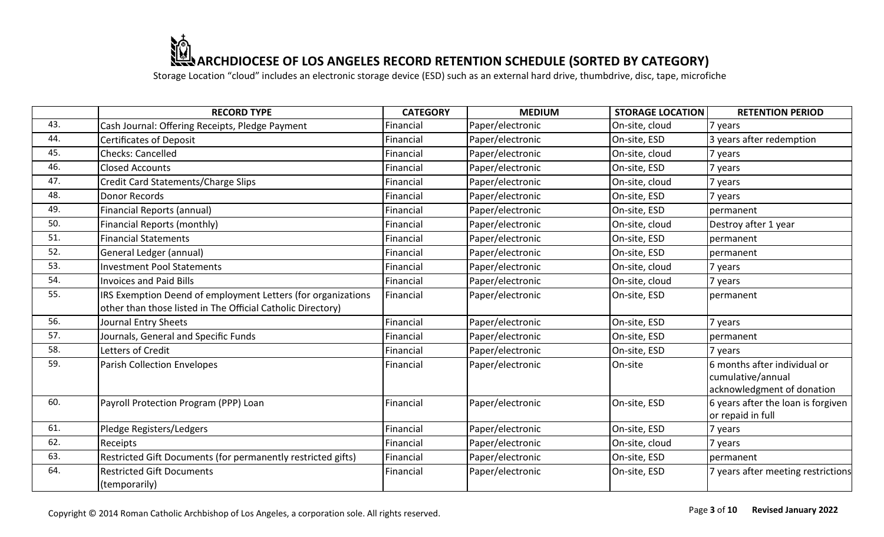|     | <b>RECORD TYPE</b>                                           | <b>CATEGORY</b> | <b>MEDIUM</b>    | <b>STORAGE LOCATION</b> | <b>RETENTION PERIOD</b>            |
|-----|--------------------------------------------------------------|-----------------|------------------|-------------------------|------------------------------------|
| 43. | Cash Journal: Offering Receipts, Pledge Payment              | Financial       | Paper/electronic | On-site, cloud          | 7 years                            |
| 44. | Certificates of Deposit                                      | Financial       | Paper/electronic | On-site, ESD            | 3 years after redemption           |
| 45. | Checks: Cancelled                                            | Financial       | Paper/electronic | On-site, cloud          | 7 years                            |
| 46. | <b>Closed Accounts</b>                                       | Financial       | Paper/electronic | On-site, ESD            | 7 years                            |
| 47. | Credit Card Statements/Charge Slips                          | Financial       | Paper/electronic | On-site, cloud          | 7 years                            |
| 48. | Donor Records                                                | Financial       | Paper/electronic | On-site, ESD            | 7 years                            |
| 49. | Financial Reports (annual)                                   | Financial       | Paper/electronic | On-site, ESD            | permanent                          |
| 50. | Financial Reports (monthly)                                  | Financial       | Paper/electronic | On-site, cloud          | Destroy after 1 year               |
| 51. | <b>Financial Statements</b>                                  | Financial       | Paper/electronic | On-site, ESD            | permanent                          |
| 52. | General Ledger (annual)                                      | Financial       | Paper/electronic | On-site, ESD            | permanent                          |
| 53. | <b>Investment Pool Statements</b>                            | Financial       | Paper/electronic | On-site, cloud          | 7 years                            |
| 54. | Invoices and Paid Bills                                      | Financial       | Paper/electronic | On-site, cloud          | 7 years                            |
| 55. | IRS Exemption Deend of employment Letters (for organizations | Financial       | Paper/electronic | On-site, ESD            | permanent                          |
|     | other than those listed in The Official Catholic Directory)  |                 |                  |                         |                                    |
| 56. | Journal Entry Sheets                                         | Financial       | Paper/electronic | On-site, ESD            | 7 years                            |
| 57. | Journals, General and Specific Funds                         | Financial       | Paper/electronic | On-site, ESD            | permanent                          |
| 58. | Letters of Credit                                            | Financial       | Paper/electronic | On-site, ESD            | 7 years                            |
| 59. | <b>Parish Collection Envelopes</b>                           | Financial       | Paper/electronic | On-site                 | 6 months after individual or       |
|     |                                                              |                 |                  |                         | cumulative/annual                  |
|     |                                                              |                 |                  |                         | acknowledgment of donation         |
| 60. | Payroll Protection Program (PPP) Loan                        | Financial       | Paper/electronic | On-site, ESD            | 6 years after the loan is forgiven |
|     |                                                              |                 |                  |                         | or repaid in full                  |
| 61. | Pledge Registers/Ledgers                                     | Financial       | Paper/electronic | On-site, ESD            | 7 years                            |
| 62. | Receipts                                                     | Financial       | Paper/electronic | On-site, cloud          | 7 years                            |
| 63. | Restricted Gift Documents (for permanently restricted gifts) | Financial       | Paper/electronic | On-site, ESD            | permanent                          |
| 64. | <b>Restricted Gift Documents</b>                             | Financial       | Paper/electronic | On-site, ESD            | 7 years after meeting restrictions |
|     | (temporarily)                                                |                 |                  |                         |                                    |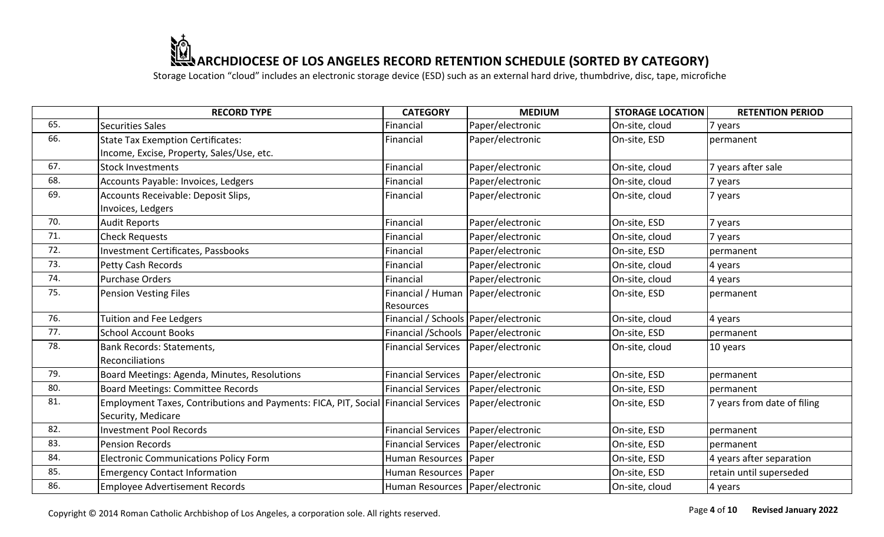Storage Location "cloud" includes an electronic storage device (ESD) such as an external hard drive, thumbdrive, disc, tape, microfiche

|     | <b>RECORD TYPE</b>                                                                 | <b>CATEGORY</b>                        | <b>MEDIUM</b>    | <b>STORAGE LOCATION</b> | <b>RETENTION PERIOD</b>     |
|-----|------------------------------------------------------------------------------------|----------------------------------------|------------------|-------------------------|-----------------------------|
| 65. | <b>Securities Sales</b>                                                            | Financial                              | Paper/electronic | On-site, cloud          | 7 years                     |
| 66. | <b>State Tax Exemption Certificates:</b>                                           | Financial                              | Paper/electronic | On-site, ESD            | permanent                   |
|     | Income, Excise, Property, Sales/Use, etc.                                          |                                        |                  |                         |                             |
| 67. | <b>Stock Investments</b>                                                           | Financial                              | Paper/electronic | On-site, cloud          | 7 years after sale          |
| 68. | Accounts Payable: Invoices, Ledgers                                                | Financial                              | Paper/electronic | On-site, cloud          | 7 years                     |
| 69. | Accounts Receivable: Deposit Slips,                                                | Financial                              | Paper/electronic | On-site, cloud          | 7 years                     |
|     | Invoices, Ledgers                                                                  |                                        |                  |                         |                             |
| 70. | <b>Audit Reports</b>                                                               | Financial                              | Paper/electronic | On-site, ESD            | 7 years                     |
| 71. | <b>Check Requests</b>                                                              | Financial                              | Paper/electronic | On-site, cloud          | 7 years                     |
| 72. | Investment Certificates, Passbooks                                                 | Financial                              | Paper/electronic | On-site, ESD            | permanent                   |
| 73. | <b>Petty Cash Records</b>                                                          | Financial                              | Paper/electronic | On-site, cloud          | 4 years                     |
| 74. | Purchase Orders                                                                    | Financial                              | Paper/electronic | On-site, cloud          | 4 years                     |
| 75. | <b>Pension Vesting Files</b>                                                       | Financial / Human                      | Paper/electronic | On-site, ESD            | permanent                   |
|     |                                                                                    | <b>Resources</b>                       |                  |                         |                             |
| 76. | <b>Tuition and Fee Ledgers</b>                                                     | Financial / Schools   Paper/electronic |                  | On-site, cloud          | 4 years                     |
| 77. | <b>School Account Books</b>                                                        | Financial / Schools Paper/electronic   |                  | On-site, ESD            | permanent                   |
| 78. | Bank Records: Statements,                                                          | <b>Financial Services</b>              | Paper/electronic | On-site, cloud          | 10 years                    |
|     | Reconciliations                                                                    |                                        |                  |                         |                             |
| 79. | Board Meetings: Agenda, Minutes, Resolutions                                       | <b>Financial Services</b>              | Paper/electronic | On-site, ESD            | permanent                   |
| 80. | Board Meetings: Committee Records                                                  | <b>Financial Services</b>              | Paper/electronic | On-site, ESD            | permanent                   |
| 81. | Employment Taxes, Contributions and Payments: FICA, PIT, Social Financial Services |                                        | Paper/electronic | On-site, ESD            | 7 years from date of filing |
|     | Security, Medicare                                                                 |                                        |                  |                         |                             |
| 82. | <b>Investment Pool Records</b>                                                     | <b>Financial Services</b>              | Paper/electronic | On-site, ESD            | permanent                   |
| 83. | <b>Pension Records</b>                                                             | <b>Financial Services</b>              | Paper/electronic | On-site, ESD            | permanent                   |
| 84. | <b>Electronic Communications Policy Form</b>                                       | Human Resources   Paper                |                  | On-site, ESD            | 4 years after separation    |
| 85. | <b>Emergency Contact Information</b>                                               | Human Resources Paper                  |                  | On-site, ESD            | retain until superseded     |
| 86. | <b>Employee Advertisement Records</b>                                              | Human Resources   Paper/electronic     |                  | On-site, cloud          | 4 years                     |

Copyright © 2014 Roman Catholic Archbishop of Los Angeles, a corporation sole. All rights reserved.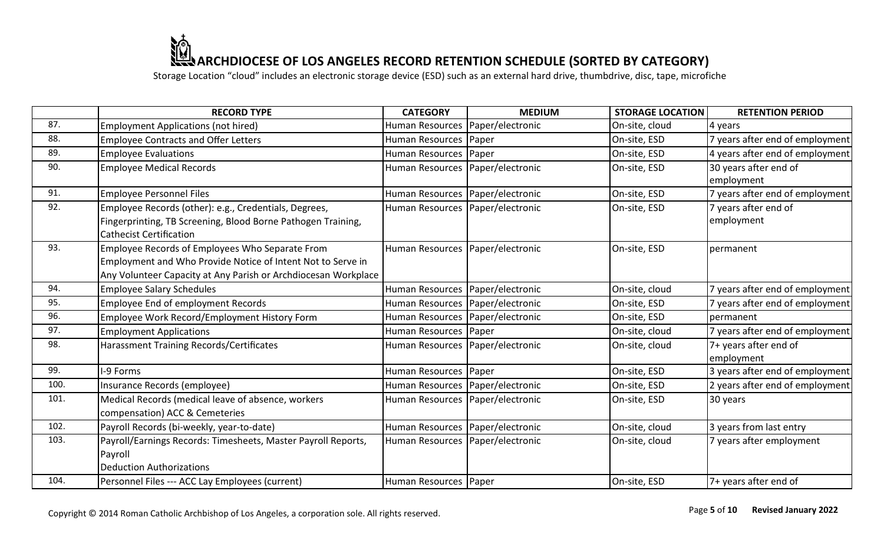|      | <b>RECORD TYPE</b>                                                                                                                                                               | <b>CATEGORY</b>                    | <b>MEDIUM</b>    | <b>STORAGE LOCATION</b> | <b>RETENTION PERIOD</b>             |
|------|----------------------------------------------------------------------------------------------------------------------------------------------------------------------------------|------------------------------------|------------------|-------------------------|-------------------------------------|
| 87.  | <b>Employment Applications (not hired)</b>                                                                                                                                       | Human Resources   Paper/electronic |                  | On-site, cloud          | 4 years                             |
| 88.  | <b>Employee Contracts and Offer Letters</b>                                                                                                                                      | Human Resources   Paper            |                  | On-site, ESD            | 7 years after end of employment     |
| 89.  | <b>Employee Evaluations</b>                                                                                                                                                      | Human Resources   Paper            |                  | On-site, ESD            | 4 years after end of employment     |
| 90.  | <b>Employee Medical Records</b>                                                                                                                                                  | Human Resources   Paper/electronic |                  | On-site, ESD            | 30 years after end of<br>employment |
| 91.  | <b>Employee Personnel Files</b>                                                                                                                                                  | Human Resources   Paper/electronic |                  | On-site, ESD            | 7 years after end of employment     |
| 92.  | Employee Records (other): e.g., Credentials, Degrees,<br>Fingerprinting, TB Screening, Blood Borne Pathogen Training,<br><b>Cathecist Certification</b>                          | Human Resources   Paper/electronic |                  | On-site, ESD            | 7 years after end of<br>employment  |
| 93.  | Employee Records of Employees Who Separate From<br>Employment and Who Provide Notice of Intent Not to Serve in<br>Any Volunteer Capacity at Any Parish or Archdiocesan Workplace | Human Resources   Paper/electronic |                  | On-site, ESD            | permanent                           |
| 94.  | <b>Employee Salary Schedules</b>                                                                                                                                                 | Human Resources   Paper/electronic |                  | On-site, cloud          | 7 years after end of employment     |
| 95.  | <b>Employee End of employment Records</b>                                                                                                                                        | Human Resources Paper/electronic   |                  | On-site, ESD            | 7 years after end of employment     |
| 96.  | Employee Work Record/Employment History Form                                                                                                                                     | Human Resources   Paper/electronic |                  | On-site, ESD            | permanent                           |
| 97.  | <b>Employment Applications</b>                                                                                                                                                   | Human Resources   Paper            |                  | On-site, cloud          | 7 years after end of employment     |
| 98.  | <b>Harassment Training Records/Certificates</b>                                                                                                                                  | Human Resources   Paper/electronic |                  | On-site, cloud          | 7+ years after end of<br>employment |
| 99.  | -9 Forms                                                                                                                                                                         | Human Resources   Paper            |                  | On-site, ESD            | 3 years after end of employment     |
| 100. | Insurance Records (employee)                                                                                                                                                     | Human Resources   Paper/electronic |                  | On-site, ESD            | 2 years after end of employment     |
| 101. | Medical Records (medical leave of absence, workers<br>compensation) ACC & Cemeteries                                                                                             | Human Resources   Paper/electronic |                  | On-site, ESD            | 30 years                            |
| 102. | Payroll Records (bi-weekly, year-to-date)                                                                                                                                        | Human Resources   Paper/electronic |                  | On-site, cloud          | 3 years from last entry             |
| 103. | Payroll/Earnings Records: Timesheets, Master Payroll Reports,<br>Payroll<br><b>Deduction Authorizations</b>                                                                      | <b>Human Resources</b>             | Paper/electronic | On-site, cloud          | 7 years after employment            |
| 104. | Personnel Files --- ACC Lay Employees (current)                                                                                                                                  | Human Resources   Paper            |                  | On-site, ESD            | 7+ years after end of               |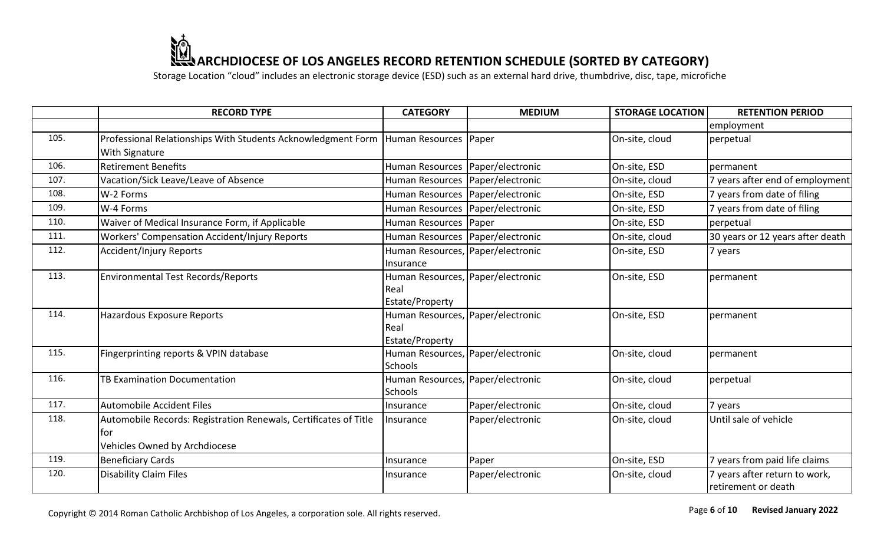Storage Location "cloud" includes an electronic storage device (ESD) such as an external hard drive, thumbdrive, disc, tape, microfiche

|      | <b>RECORD TYPE</b>                                                                                       | <b>CATEGORY</b>                                              | <b>MEDIUM</b>    | <b>STORAGE LOCATION</b> | <b>RETENTION PERIOD</b>                              |
|------|----------------------------------------------------------------------------------------------------------|--------------------------------------------------------------|------------------|-------------------------|------------------------------------------------------|
|      |                                                                                                          |                                                              |                  |                         | employment                                           |
| 105. | Professional Relationships With Students Acknowledgment Form   Human Resources<br>With Signature         |                                                              | Paper            | On-site, cloud          | perpetual                                            |
| 106. | <b>Retirement Benefits</b>                                                                               | <b>Human Resources</b>                                       | Paper/electronic | On-site, ESD            | permanent                                            |
| 107. | Vacation/Sick Leave/Leave of Absence                                                                     | Human Resources                                              | Paper/electronic | On-site, cloud          | 7 years after end of employment                      |
| 108. | W-2 Forms                                                                                                | Human Resources Paper/electronic                             |                  | On-site, ESD            | 7 years from date of filing                          |
| 109. | W-4 Forms                                                                                                | Human Resources   Paper/electronic                           |                  | On-site, ESD            | 7 years from date of filing                          |
| 110. | Waiver of Medical Insurance Form, if Applicable                                                          | <b>Human Resources</b>                                       | Paper            | On-site, ESD            | perpetual                                            |
| 111. | <b>Workers' Compensation Accident/Injury Reports</b>                                                     | Human Resources   Paper/electronic                           |                  | On-site, cloud          | 30 years or 12 years after death                     |
| 112. | <b>Accident/Injury Reports</b>                                                                           | Human Resources, Paper/electronic<br>Insurance               |                  | On-site, ESD            | 7 years                                              |
| 113. | <b>Environmental Test Records/Reports</b>                                                                | Human Resources, Paper/electronic<br>Real<br>Estate/Property |                  | On-site, ESD            | permanent                                            |
| 114. | Hazardous Exposure Reports                                                                               | Human Resources, Paper/electronic<br>Real<br>Estate/Property |                  | On-site, ESD            | permanent                                            |
| 115. | Fingerprinting reports & VPIN database                                                                   | Human Resources, Paper/electronic<br><b>Schools</b>          |                  | On-site, cloud          | permanent                                            |
| 116. | TB Examination Documentation                                                                             | Human Resources, Paper/electronic<br><b>Schools</b>          |                  | On-site, cloud          | perpetual                                            |
| 117. | <b>Automobile Accident Files</b>                                                                         | Insurance                                                    | Paper/electronic | On-site, cloud          | 7 years                                              |
| 118. | Automobile Records: Registration Renewals, Certificates of Title<br>tor<br>Vehicles Owned by Archdiocese | Insurance                                                    | Paper/electronic | On-site, cloud          | Until sale of vehicle                                |
| 119. | <b>Beneficiary Cards</b>                                                                                 | Insurance                                                    | Paper            | On-site, ESD            | 7 years from paid life claims                        |
| 120. | <b>Disability Claim Files</b>                                                                            | Insurance                                                    | Paper/electronic | On-site, cloud          | 7 years after return to work,<br>retirement or death |

Copyright © 2014 Roman Catholic Archbishop of Los Angeles, a corporation sole. All rights reserved.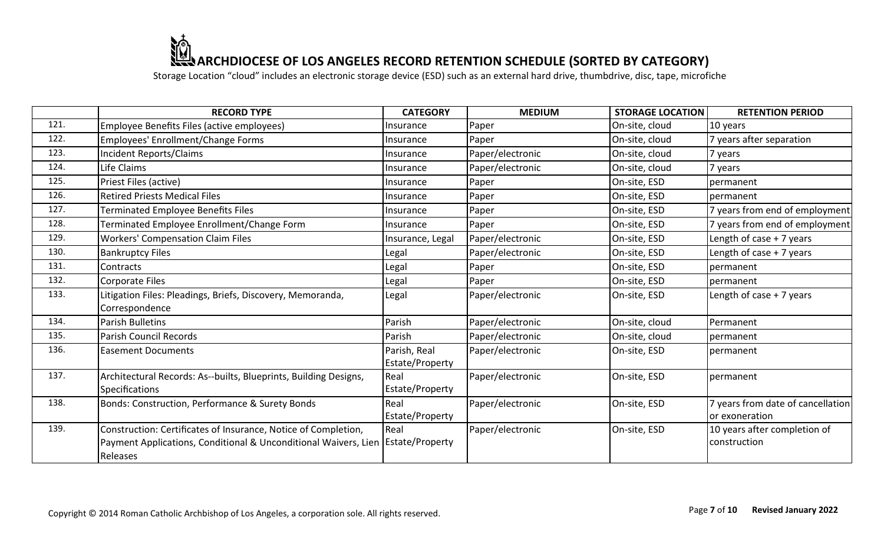|      | <b>RECORD TYPE</b>                                                                                                                                              | <b>CATEGORY</b>                 | <b>MEDIUM</b>    | <b>STORAGE LOCATION</b> | <b>RETENTION PERIOD</b>                             |
|------|-----------------------------------------------------------------------------------------------------------------------------------------------------------------|---------------------------------|------------------|-------------------------|-----------------------------------------------------|
| 121. | Employee Benefits Files (active employees)                                                                                                                      | Insurance                       | Paper            | On-site, cloud          | 10 years                                            |
| 122. | Employees' Enrollment/Change Forms                                                                                                                              | Insurance                       | Paper            | On-site, cloud          | 7 years after separation                            |
| 123. | <b>Incident Reports/Claims</b>                                                                                                                                  | Insurance                       | Paper/electronic | On-site, cloud          | 7 years                                             |
| 124. | Life Claims                                                                                                                                                     | Insurance                       | Paper/electronic | On-site, cloud          | 7 years                                             |
| 125. | Priest Files (active)                                                                                                                                           | Insurance                       | Paper            | On-site, ESD            | permanent                                           |
| 126. | <b>Retired Priests Medical Files</b>                                                                                                                            | Insurance                       | Paper            | On-site, ESD            | permanent                                           |
| 127. | Terminated Employee Benefits Files                                                                                                                              | Insurance                       | Paper            | On-site, ESD            | 7 years from end of employment                      |
| 128. | Terminated Employee Enrollment/Change Form                                                                                                                      | Insurance                       | Paper            | On-site, ESD            | 7 years from end of employment                      |
| 129. | <b>Workers' Compensation Claim Files</b>                                                                                                                        | Insurance, Legal                | Paper/electronic | On-site, ESD            | Length of case + 7 years                            |
| 130. | <b>Bankruptcy Files</b>                                                                                                                                         | Legal                           | Paper/electronic | On-site, ESD            | Length of case + 7 years                            |
| 131. | Contracts                                                                                                                                                       | Legal                           | Paper            | On-site, ESD            | permanent                                           |
| 132. | Corporate Files                                                                                                                                                 | Legal                           | Paper            | On-site, ESD            | permanent                                           |
| 133. | Litigation Files: Pleadings, Briefs, Discovery, Memoranda,                                                                                                      | Legal                           | Paper/electronic | On-site, ESD            | Length of case + 7 years                            |
|      | Correspondence                                                                                                                                                  |                                 |                  |                         |                                                     |
| 134. | Parish Bulletins                                                                                                                                                | Parish                          | Paper/electronic | On-site, cloud          | Permanent                                           |
| 135. | <b>Parish Council Records</b>                                                                                                                                   | Parish                          | Paper/electronic | On-site, cloud          | permanent                                           |
| 136. | <b>Easement Documents</b>                                                                                                                                       | Parish, Real<br>Estate/Property | Paper/electronic | On-site, ESD            | permanent                                           |
| 137. | Architectural Records: As--builts, Blueprints, Building Designs,<br><b>Specifications</b>                                                                       | Real<br>Estate/Property         | Paper/electronic | On-site, ESD            | permanent                                           |
| 138. | Bonds: Construction, Performance & Surety Bonds                                                                                                                 | Real<br>Estate/Property         | Paper/electronic | On-site, ESD            | 7 years from date of cancellation<br>or exoneration |
| 139. | Construction: Certificates of Insurance, Notice of Completion,<br>Payment Applications, Conditional & Unconditional Waivers, Lien   Estate/Property<br>Releases | Real                            | Paper/electronic | On-site, ESD            | 10 years after completion of<br>construction        |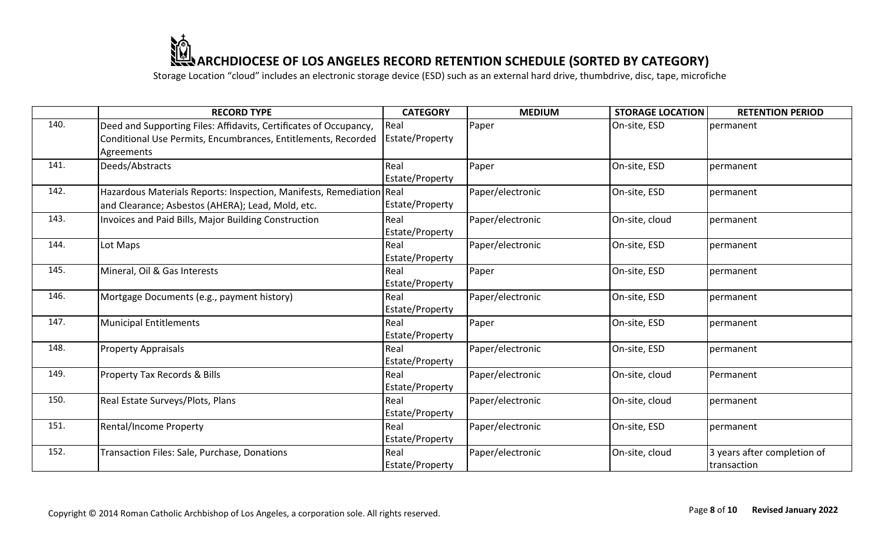|      | <b>RECORD TYPE</b>                                                   | <b>CATEGORY</b>        | <b>MEDIUM</b>    | <b>STORAGE LOCATION</b> | <b>RETENTION PERIOD</b>     |
|------|----------------------------------------------------------------------|------------------------|------------------|-------------------------|-----------------------------|
| 140. | Deed and Supporting Files: Affidavits, Certificates of Occupancy,    | Real                   | Paper            | On-site, ESD            | permanent                   |
|      | Conditional Use Permits, Encumbrances, Entitlements, Recorded        | Estate/Property        |                  |                         |                             |
|      | Agreements                                                           |                        |                  |                         |                             |
| 141. | Deeds/Abstracts                                                      | Real                   | Paper            | On-site, ESD            | permanent                   |
|      |                                                                      | Estate/Property        |                  |                         |                             |
| 142. | Hazardous Materials Reports: Inspection, Manifests, Remediation Real |                        | Paper/electronic | On-site, ESD            | permanent                   |
|      | and Clearance; Asbestos (AHERA); Lead, Mold, etc.                    | Estate/Property        |                  |                         |                             |
| 143. | Invoices and Paid Bills, Major Building Construction                 | Real                   | Paper/electronic | On-site, cloud          | permanent                   |
|      |                                                                      | Estate/Property        |                  |                         |                             |
| 144. | Lot Maps                                                             | Real                   | Paper/electronic | On-site, ESD            | permanent                   |
|      |                                                                      | Estate/Property        |                  |                         |                             |
| 145. | Mineral, Oil & Gas Interests                                         | Real                   | Paper            | On-site, ESD            | permanent                   |
|      |                                                                      | Estate/Property        |                  |                         |                             |
| 146. | Mortgage Documents (e.g., payment history)                           | Real                   | Paper/electronic | On-site, ESD            | permanent                   |
|      |                                                                      | <b>Estate/Property</b> |                  |                         |                             |
| 147. | <b>Municipal Entitlements</b>                                        | Real                   | Paper            | On-site, ESD            | permanent                   |
|      |                                                                      | Estate/Property        |                  |                         |                             |
| 148. | <b>Property Appraisals</b>                                           | Real                   | Paper/electronic | On-site, ESD            | permanent                   |
|      |                                                                      | Estate/Property        |                  |                         |                             |
| 149. | <b>Property Tax Records &amp; Bills</b>                              | Real                   | Paper/electronic | On-site, cloud          | Permanent                   |
|      |                                                                      | Estate/Property        |                  |                         |                             |
| 150. | Real Estate Surveys/Plots, Plans                                     | Real                   | Paper/electronic | On-site, cloud          | permanent                   |
|      |                                                                      | Estate/Property        |                  |                         |                             |
| 151. | <b>Rental/Income Property</b>                                        | Real                   | Paper/electronic | On-site, ESD            | permanent                   |
|      |                                                                      | Estate/Property        |                  |                         |                             |
| 152. | Transaction Files: Sale, Purchase, Donations                         | Real                   | Paper/electronic | On-site, cloud          | 3 years after completion of |
|      |                                                                      | <b>Estate/Property</b> |                  |                         | transaction                 |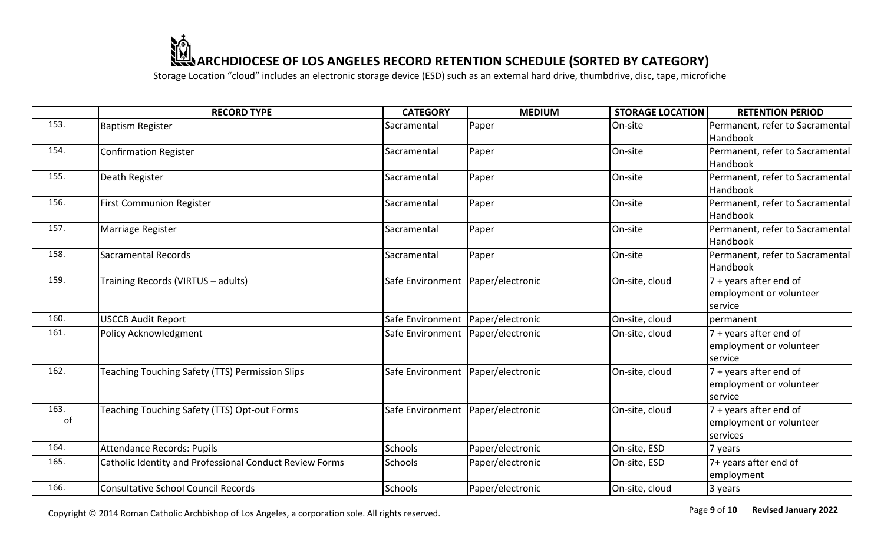|            | <b>RECORD TYPE</b>                                      | <b>CATEGORY</b>                     | <b>MEDIUM</b>    | <b>STORAGE LOCATION</b> | <b>RETENTION PERIOD</b>                                                |
|------------|---------------------------------------------------------|-------------------------------------|------------------|-------------------------|------------------------------------------------------------------------|
| 153.       | <b>Baptism Register</b>                                 | Sacramental                         | Paper            | On-site                 | Permanent, refer to Sacramental<br>Handbook                            |
| 154.       | <b>Confirmation Register</b>                            | Sacramental                         | Paper            | On-site                 | Permanent, refer to Sacramental<br>Handbook                            |
| 155.       | Death Register                                          | Sacramental                         | Paper            | On-site                 | Permanent, refer to Sacramental<br>Handbook                            |
| 156.       | <b>First Communion Register</b>                         | Sacramental                         | Paper            | On-site                 | Permanent, refer to Sacramental<br>Handbook                            |
| 157.       | Marriage Register                                       | Sacramental                         | Paper            | On-site                 | Permanent, refer to Sacramental<br>Handbook                            |
| 158.       | <b>Sacramental Records</b>                              | Sacramental                         | Paper            | On-site                 | Permanent, refer to Sacramental<br>Handbook                            |
| 159.       | Training Records (VIRTUS - adults)                      | Safe Environment   Paper/electronic |                  | On-site, cloud          | 7 + years after end of<br>employment or volunteer<br>service           |
| 160.       | <b>USCCB Audit Report</b>                               | Safe Environment   Paper/electronic |                  | On-site, cloud          | permanent                                                              |
| 161.       | <b>Policy Acknowledgment</b>                            | Safe Environment   Paper/electronic |                  | On-site, cloud          | 7 + years after end of<br>employment or volunteer<br>service           |
| 162.       | Teaching Touching Safety (TTS) Permission Slips         | Safe Environment   Paper/electronic |                  | On-site, cloud          | 7 + years after end of<br>employment or volunteer<br>service           |
| 163.<br>of | Teaching Touching Safety (TTS) Opt-out Forms            | Safe Environment                    | Paper/electronic | On-site, cloud          | $7 + \text{years after end of}$<br>employment or volunteer<br>services |
| 164.       | <b>Attendance Records: Pupils</b>                       | <b>Schools</b>                      | Paper/electronic | On-site, ESD            | 7 years                                                                |
| 165.       | Catholic Identity and Professional Conduct Review Forms | <b>Schools</b>                      | Paper/electronic | On-site, ESD            | 7+ years after end of<br>employment                                    |
| 166.       | <b>Consultative School Council Records</b>              | <b>Schools</b>                      | Paper/electronic | On-site, cloud          | 3 years                                                                |